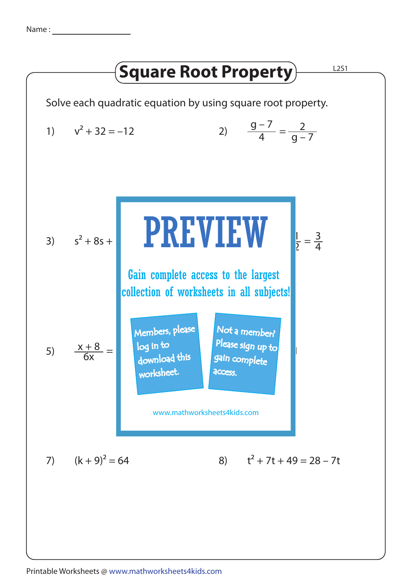